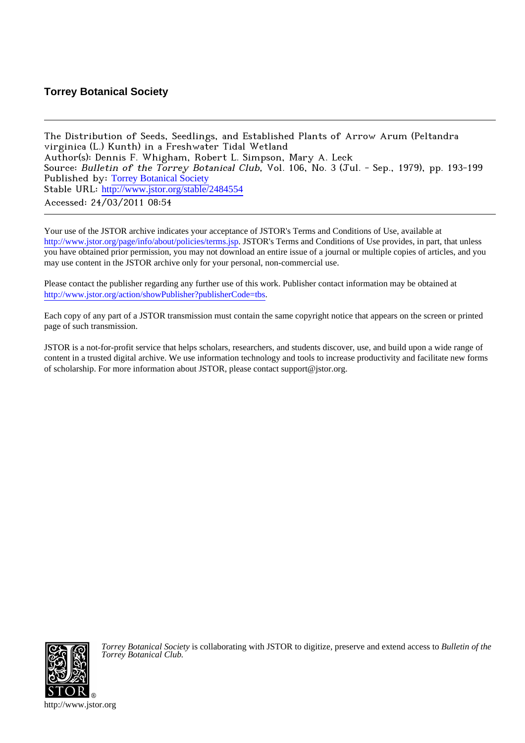# **Torrey Botanical Society**

The Distribution of Seeds, Seedlings, and Established Plants of Arrow Arum (Peltandra virginica (L.) Kunth) in a Freshwater Tidal Wetland Author(s): Dennis F. Whigham, Robert L. Simpson, Mary A. Leck Source: Bulletin of the Torrey Botanical Club, Vol. 106, No. 3 (Jul. - Sep., 1979), pp. 193-199 Published by: [Torrey Botanical Society](http://www.jstor.org/action/showPublisher?publisherCode=tbs) Stable URL: [http://www.jstor.org/stable/2484554](http://www.jstor.org/stable/2484554?origin=JSTOR-pdf) Accessed: 24/03/2011 08:54

Your use of the JSTOR archive indicates your acceptance of JSTOR's Terms and Conditions of Use, available at <http://www.jstor.org/page/info/about/policies/terms.jsp>. JSTOR's Terms and Conditions of Use provides, in part, that unless you have obtained prior permission, you may not download an entire issue of a journal or multiple copies of articles, and you may use content in the JSTOR archive only for your personal, non-commercial use.

Please contact the publisher regarding any further use of this work. Publisher contact information may be obtained at [http://www.jstor.org/action/showPublisher?publisherCode=tbs.](http://www.jstor.org/action/showPublisher?publisherCode=tbs)

Each copy of any part of a JSTOR transmission must contain the same copyright notice that appears on the screen or printed page of such transmission.

JSTOR is a not-for-profit service that helps scholars, researchers, and students discover, use, and build upon a wide range of content in a trusted digital archive. We use information technology and tools to increase productivity and facilitate new forms of scholarship. For more information about JSTOR, please contact support@jstor.org.



*Torrey Botanical Society* is collaborating with JSTOR to digitize, preserve and extend access to *Bulletin of the Torrey Botanical Club.*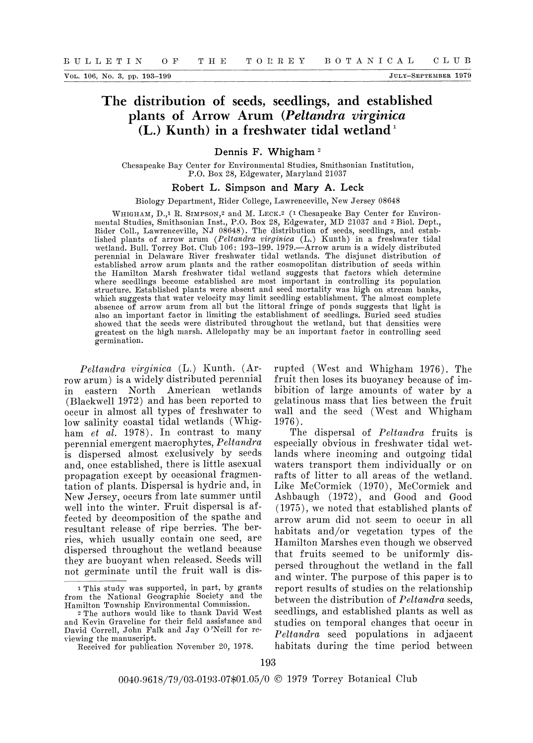## The distribution of seeds, seedlings, and established plants of Arrow Arum (Peltandra virginica (L.) Kunth) in a freshwater tidal wetland<sup>1</sup>

### Dennis F. Whigham<sup>2</sup>

Chesapeake Bay Center for Environmental Studies, Smithsonian Institution, P.O. Box 28, Edgewater, Maryland 21037

#### Robert L. Simpson and Mary A. Leck

#### Biology Department, Rider College, Lawrenceville, New Jersey 08648

WHIGHAM, D.,1 R. SIMPSON,2 and M. LECK.2 (1 Chesapeake Bay Center for Environmental Studies, Smithsonian Inst., P.O. Box 28, Edgewater, MD 21037 and 2 Biol. Dept., Rider Coll., Lawrenceville, NJ 08648). The distribution of seeds, seedlings, and established plants of arrow arum (Peltandra virginica (L.) Kunth) in a freshwater tidal wetland. Bull. Torrey Bot. Club 106: 193-199. 1979.-Arrow arumn is a widely distributed perennial in Delaware River freshwater tidal wetlands. The disjunct distribution of established arrow arum plants and the rather cosmopolitan distribution of seeds within the Hamilton Marsh freshwater tidal wetland suggests that factors which determine where seedlings become established are most important in controlling its population structure. Established plants were absent and seed mortality was high on stream banks, which suggests that water velocity may limit seedling establishment. The almost complete absence  $\bar{\text{o}}\bar{\text{f}}$  arrow arum from all but the littoral fringe of ponds suggests that light is also an important factor in limiting the establishment of seedlings. Buried seed studies showed that the seeds were distributed throughout the wetland, but that densities were greatest on the high marsh. Allelopathy may be an imnportant factor in controlling seed germination.

Peltandra virginica (L.) Kunth. (Arrow arum) is a widely distributed perennial in eastern North American wetlands (Blackwell 1972) and has been reported to occur in almost all types of freshwater to low salinity coastal tidal wetlands (Whigham et al. 1978). In contrast to many perennial emergent macrophytes, Peltandra is dispersed almost exclusively by seeds and, once established, there is little asexual propagation except by occasional fragmentation of plants. Dispersal is hydric and, in New Jersey, occurs from late summer until well into the winter. Fruit dispersal is affected by decomposition of the spathe and resultant release of ripe berries. The berries, which usually contain one seed, are dispersed throughout the wetland because they are buoyant when released. Seeds will not germinate until the fruit wall is disrupted (West and Whigham 1976). The fruit then loses its buoyancy because of imbibition of large amounts of water by a gelatinous mass that lies between the fruit wall and the seed (West and Whigham 1976).

The dispersal of *Peltandra* fruits is especially obvious in freshwater tidal wetlands where incoming and outgoing tidal waters transport them individually or on rafts of litter to all areas of the wetland. Like McCormick (1970), McCormick and Ashbaugh (1972), and Good and Good (1975), we noted that established plants of arrow arum did not seem to occur in all habitats and/or vegetation types of the Hamilton Marshes even though we observed that fruits seemed to be uniformly dispersed throughout the wetland in the fall and winter. The purpose of this paper is to report results of studies on the relationship between the distribution of Peltandra seeds, seedlings, and established plants as well as studies on temporal changes that occur in Peltandra seed populations in adjacent habitats during the time period between

<sup>1</sup>This study was supported, in part, by grants from the National Geographic Society and the Hamilton Township Environmental Commission.

<sup>2</sup>The authors would like to thank David West and Kevin Graveline for their field assistance and David Correll, John Falk and Jay O'Neill for reviewing the manuscript.

Received for publication November 20, 1978.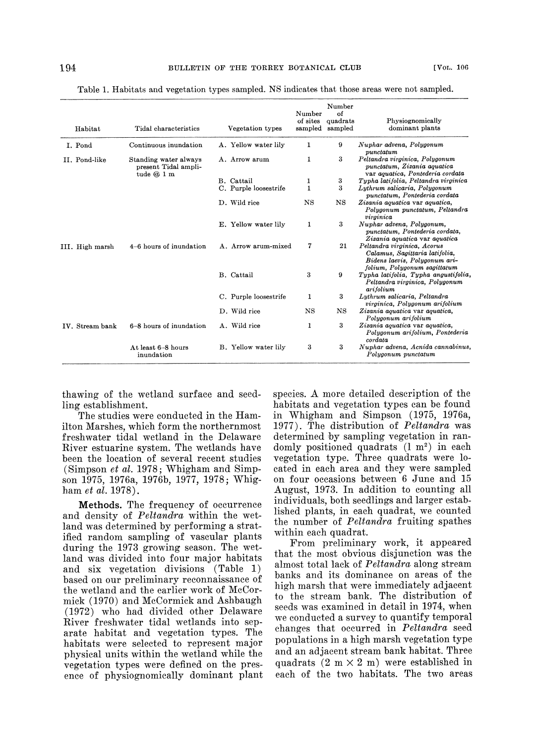| Habitat         | Tidal characteristics                                       | Vegetation types      | Number<br>of sites<br>sampled | Number<br>of<br>quadrats<br>sampled | Physiognomically<br>dominant plants                                                                                            |
|-----------------|-------------------------------------------------------------|-----------------------|-------------------------------|-------------------------------------|--------------------------------------------------------------------------------------------------------------------------------|
| I. Pond         | Continuous inundation                                       | A. Yellow water lily  | 1                             | 9                                   | Nuphar advena, Polygonum<br>punctatum                                                                                          |
| II. Pond-like   | Standing water always<br>present Tidal ampli-<br>tude $@1m$ | A. Arrow arum         | 1                             | 3                                   | Peltandra virginica, Polygonum<br>punctatum, Zizania aquatica<br>var aquatica, Pontederia cordata                              |
|                 |                                                             | B. Cattail            | 1                             | 3                                   | Typha latifolia, Peltandra virginica                                                                                           |
|                 |                                                             | C. Purple loosestrife | 1                             | 3                                   | Lythrum salicaria, Polygonum<br>punctatum, Pontederia cordata                                                                  |
|                 |                                                             | D. Wild rice          | $_{\rm NS}$                   | NS                                  | Zizania aquatica var aquatica,<br>Polygonum punctatum, Peltandra<br>virginica                                                  |
|                 |                                                             | E. Yellow water lilv  | 1                             | 3                                   | Nuphar advena, Polygonum,<br>punctatum, Pontederia cordata,<br>Zizania aguatica var aguatica                                   |
| III. High marsh | 4-6 hours of inundation                                     | A. Arrow arum-mixed   | 7                             | 21                                  | Peltandra virginica, Acorus<br>Calamus, Sagittaria latifolia,<br>Bidens laevis, Polygonum ari-<br>folium, Polygonum sagittatum |
|                 |                                                             | B. Cattail            | 3                             | 9                                   | Typha latifolia, Typha angustifolia,<br>Peltandra virginica, Polygonum<br>arifolium                                            |
|                 |                                                             | C. Purple loosestrife | 1                             | 3                                   | Lythrum salicaria, Peltandra<br>virginica, Polygonum arifolium                                                                 |
|                 |                                                             | D. Wild rice          | NS                            | <b>NS</b>                           | Zizania aquatica var aquatica,<br>Polygonum arifolium                                                                          |
| IV. Stream bank | 6-8 hours of inundation                                     | A. Wild rice          | 1                             | 3                                   | Zizania aquatica var aquatica,<br>Polygonum arifolium, Pontederia<br>$\it{cordata}$                                            |
|                 | At least 6-8 hours<br>inundation                            | B. Yellow water lily  | 3                             | 3                                   | Nuphar advena, Acnida cannabinus,<br>Polygonum punctatum                                                                       |

Table 1. Habitats and vegetation types sampled. NS indicates that those areas were not sampled.

thawing of the wetland surface and seedling establishment.

The studies were conducted in the Hamilton Marshes, which form the northernmost freshwater tidal wetland in the Delaware River estuarine system. The wetlands have been the location of several recent studies (Simpson et al. 1978; Whigham and Simpson 1975, 1976a, 1976b, 1977, 1978; Whigham *et al.* 1978).

Methods. The frequency of occurrence and density of Peltandra within the wetland was determined by performing astratified random sampling of vascular plants during the 1973 growing season. The wetland was divided into four major habitats and six vegetation divisions (Table 1) based on our preliminary reconnaissance of the wetland and the earlier work of McCormick (1970) and McCormick and Ashbaugh (1972) who had divided other Delaware River freshwater tidal wetlands into separate habitat and vegetation types. The habitats were selected to represent major physical units within the wetland while the vegetation types were defined on the presence of physiognomically dominant plant species. A more detailed description of the habitats and vegetation types can be found in Whigham and Simpson (1975, 1976a, 1977). The distribution of Peltandra was determined by sampling vegetation in randomly positioned quadrats (1 m2) in each vegetation type. Three quadrats were located in each area and they were sampled on four occasions between 6 June and 15 August, 1973. In addition to counting all individuals, both seedlings and larger established plants, in each quadrat, we counted the number of Peltandra fruiting spathes within each quadrat.

From preliminary work, it appeared that the most obvious disjunction was the almost total lack of Peltandra along stream banks and its dominance on areas of the high marsh that were immediately adjacent to the stream bank. The distribution of seeds was examined in detail in 1974, when we conducted a survey to quantify temporal changes that occurred in Peltandra seed populations in a high marsh vegetation type and an adjacent stream bank habitat. Three quadrats  $(2 \text{ m} \times 2 \text{ m})$  were established in each of the two habitats. The two areas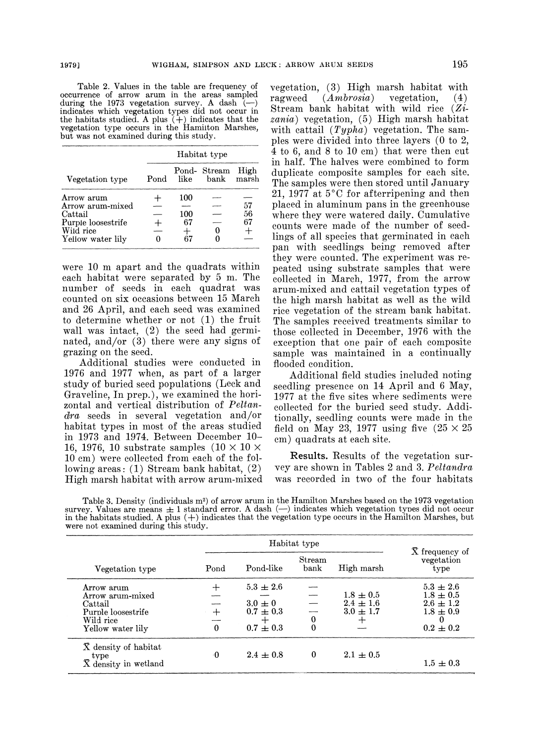Table 2. Values in the table are frequency of occurrence of arrow arum in the areas sampled during the 1973 vegetation survey. A dash (-) indicates which vegetation types did not occur in the habitats studied. A plus  $(+)$  indicates that the vegetation type occurs in the Hamilton Marshes, but was not examined during this study.

|                    | Habitat type |      |                     |               |  |  |  |  |
|--------------------|--------------|------|---------------------|---------------|--|--|--|--|
| Vegetation type    | Pond         | like | Pond-Stream<br>bank | High<br>marsh |  |  |  |  |
| Arrow arum         |              | 100  |                     |               |  |  |  |  |
| Arrow arum-mixed   |              |      |                     | 57            |  |  |  |  |
| Cattail            |              | 100  |                     | 56            |  |  |  |  |
| Purple loosestrife |              | 67   |                     | 67            |  |  |  |  |
| Wild rice          |              |      |                     |               |  |  |  |  |
| Yellow water lily  |              | ደካ   |                     |               |  |  |  |  |

were 10 m apart and the quadrats within each habitat were separated by 5 m. The number of seeds in each quadrat was counted on six occasions between 15 March and 26 April, and each seed was examined to determine whether or not (1) the fruit wall was intact, (2) the seed had germinated, and/or (3) there were any signs of grazing on the seed.

Additional studies were conducted in 1976 and 1977 when, as part of a larger study of buried seed populations (Leek and Graveline, In prep.), we examined the horizontal and vertical distribution of Peltandra seeds in several vegetation and/or habitat types in most of the areas studied in 1973 and 1974. Between December 10- 16, 1976, 10 substrate samples  $(10 \times 10 \times$ 10 cm) were collected from each of the following areas: (1) Stream bank habitat, (2) High marsh habitat with arrow arum-mixed vegetation,  $(3)$  High marsh habitat with<br>ragweed  $(Ambrosia)$  vegetation,  $(4)$ ragweed  $(Ambrosia)$ Stream bank habitat with wild rice (Zizania) vegetation, (5) High marsh habitat with cattail  $(Typha)$  vegetation. The samples were divided into three layers (O to 2, 4 to 6, and 8 to 10 cm) that were then cut in half. The halves were combined to form duplicate composite samples for each site. The samples were then stored until January 21, 1977 at  $5^{\circ}$ C for afterripening and then placed in aluminum pans in the greenhouse where they were watered daily. Cumulative counts were made of the number of seedlings of all species that germinated in each pan with seedlings being removed after they were counted. The experiment was repeated using substrate samples that were collected in March, 1977, from the arrow arum-mixed and cattail vegetation types of the high marsh habitat as well as the wild rice vegetation of the stream bank habitat. The samples received treatments similar to those collected in December, 1976 with the exception that one pair of each composite sample was maintained in a continually flooded condition.

Additional field studies included noting seedling presence on 14 April and 6 May, 1977 at the five sites where sediments were collected for the buried seed study. Additionally, seedling counts were made in the field on May 23, 1977 using five  $(25 \times 25)$ cm) quadrats at each site.

Results. Results of the vegetation survey are shown in Tables 2 and 3. Peltandra was recorded in two of the four habitats

Table 3. Density (individuals  $m^2$ ) of arrow arum in the Hamilton Marshes based on the 1973 vegetation survey. Values are means  $\pm 1$  standard error. A dash  $(-)$  indicates which vegetation types did not occur in the habitats studied. A plus (+) indicates that the vegetation type occurs in the Hamilton Marshes, but were not examined during this study.

| Vegetation type                                                                                   | Pond            | Pond-like                                                           | Stream<br>bank | High marsh                                           | X frequency of<br>vegetation<br>type                                              |
|---------------------------------------------------------------------------------------------------|-----------------|---------------------------------------------------------------------|----------------|------------------------------------------------------|-----------------------------------------------------------------------------------|
| Arrow arum<br>Arrow arum-mixed<br>Cattail<br>Purple loosestrife<br>Wild rice<br>Yellow water lily | $+$<br>$\Omega$ | $5.3 \pm 2.6$<br>$3.0 \pm 0$<br>$0.7 \pm 0.3$<br>┿<br>$0.7 \pm 0.3$ | 0<br>$\Omega$  | $1.8 \pm 0.5$<br>$2.4 \pm 1.6$<br>$3.0 \pm 1.7$<br>┿ | $5.3 \pm 2.6$<br>$1.8 \pm 0.5$<br>$2.6 \pm 1.2$<br>$1.8 \pm 0.9$<br>$0.2 \pm 0.2$ |
| $\bar{X}$ density of habitat<br>type<br>$\bar{X}$ density in wetland                              | -0              | $2.4 \pm 0.8$                                                       | $\bf{0}$       | $2.1 \pm 0.5$                                        | $1.5 \pm 0.3$                                                                     |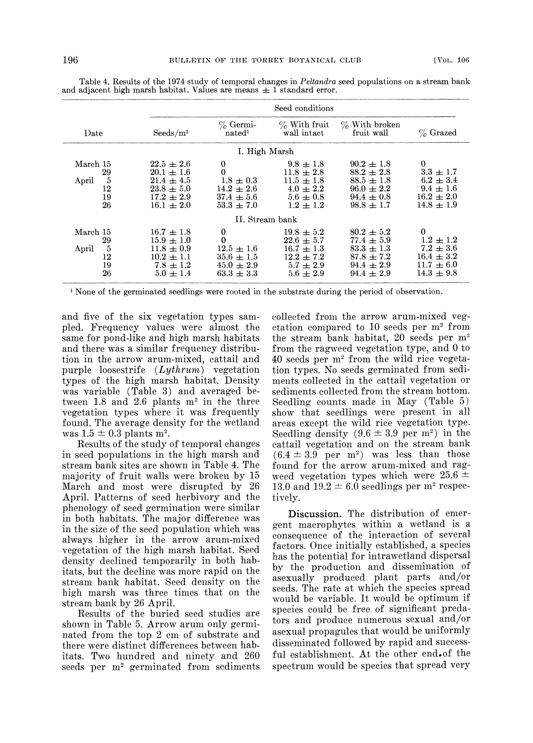|                                                | Seed conditions                                                                                          |                                                                                                   |                                                                                                    |                                                                                                          |                                                                                                 |  |  |  |  |  |  |
|------------------------------------------------|----------------------------------------------------------------------------------------------------------|---------------------------------------------------------------------------------------------------|----------------------------------------------------------------------------------------------------|----------------------------------------------------------------------------------------------------------|-------------------------------------------------------------------------------------------------|--|--|--|--|--|--|
| Date                                           | $S{\rm eeds/m^2}$                                                                                        | $\%$ Germi-<br>nated <sup>1</sup>                                                                 | $\%$ With fruit<br>wall intact                                                                     | $\%$ With broken<br>fruit wall                                                                           | % Grazed                                                                                        |  |  |  |  |  |  |
|                                                |                                                                                                          | I. High Marsh                                                                                     |                                                                                                    |                                                                                                          |                                                                                                 |  |  |  |  |  |  |
| March 15<br>29<br>5<br>April<br>12<br>19<br>26 | $22.5 \pm 2.6$<br>$20.1 \pm 1.6$<br>$21.4 \pm 4.5$<br>$23.8 \pm 5.0$<br>$17.2 \pm 2.9$<br>$16.1 \pm 2.0$ | $\bf{0}$<br>$\overline{0}$<br>$1.8 \pm 0.3$<br>$14.2 \pm 2.6$<br>$37.4 \pm 5.6$<br>$53.3 \pm 7.0$ | $9.8 \pm 1.8$<br>$11.8 \pm 2.8$<br>$11.5 \pm 1.8$<br>$4.0 \pm 2.2$<br>$5.6 \pm 0.8$<br>$1.2 + 1.2$ | $90.2 \pm 1.8$<br>$88.2 \pm 2.8$<br>$88.5 \pm 1.8$<br>$96.0 \pm 2.2$<br>$94.4 \pm 0.8$<br>$98.8 \pm 1.7$ | $\theta$<br>$3.3 \pm 1.7$<br>$6.2 \pm 3.4$<br>$9.4 \pm 1.6$<br>$16.2 \pm 2.0$<br>$14.8 \pm 1.9$ |  |  |  |  |  |  |
|                                                |                                                                                                          | II. Stream bank                                                                                   |                                                                                                    |                                                                                                          |                                                                                                 |  |  |  |  |  |  |
| March 15<br>29<br>5<br>April<br>12<br>19<br>26 | $16.7 \pm 1.8$<br>$15.9 \pm 1.0$<br>$11.8 \pm 0.9$<br>$10.2 \pm 1.1$<br>$7.8 \pm 1.2$<br>$5.0 \pm 1.4$   | 0<br>$\mathbf{0}$<br>$12.5 + 1.6$<br>$35.6 \pm 1.5$<br>$45.0 \pm 2.9$<br>$63.3 \pm 3.3$           | $19.8 \pm 5.2$<br>$22.6 + 5.7$<br>$16.7 \pm 1.3$<br>$12.2 \pm 7.2$<br>$5.7 + 2.9$<br>$5.6 \pm 2.9$ | $80.2 \pm 5.2$<br>$77.4 \pm 5.9$<br>$83.3 \pm 1.3$<br>$87.8 \pm 7.2$<br>$94.4 + 2.9$<br>$94.4 \pm 2.9$   | 0<br>$1.2 \pm 1.2$<br>$7.2 \pm 3.6$<br>$16.4 \pm 3.2$<br>$11.7 \pm 6.0$<br>$14.3 \pm 9.8$       |  |  |  |  |  |  |

Table 4. Results of the 1974 study of temporal changes in Peltandra seed populations on a stream bank and adjacent high marsh habitat. Values are means  $\pm 1$  standard error.

<sup>1</sup> None of the germinated seedlings were rooted in the substrate during the period of observation.

and five of the six vegetation types sampled. Frequency values were almost the same for pond-like and high marsh habitats and there was a similar frequency distribution in the arrow arum-mixed, cattail and purple loosestrife  $(Lythrum)$  vegetation types of the high marsh habitat. Density was variable (Table 3) and averaged between 1.8 and 2.6 plants  $m^2$  in the three vegetation types where it was frequently found. The average density for the wetland was  $1.5 \pm 0.3$  plants m<sup>2</sup>.

Results of the study of temporal changes in seed populations in the high marsh and stream bank sites are shown in Table 4. The majority of fruit walls were broken by 15 March and most were disrupted by 26 April. Patterns of seed herbivory and the phenology of seed germination were similar in both habitats. The major difference was in the size of the seed population which was always higher in the arrow arum-mixed vegetation of the high marsh habitat. Seed density declined temporarily in both habitats, but the deeline was more rapid on the stream bank habitat. Seed density on the high marsh was three times that on the stream bank by 26 April.

Results of the buried seed studies are shown in Table 5. Arrow arum only germinated from the top 2 cm of substrate and there were distinct differences between habitats. Two hundred and ninety and 260 seeds per m<sup>2</sup> germinated from sediments collected from the arrow arum-mixed vegetation compared to 10 seeds per m2 from the stream bank habitat, 20 seeds per  $m<sup>2</sup>$ from the ragweed vegetation type, and 0 to 40 seeds per m2 from the wild rice vegetation types. No seeds germinated from sediments collected in the cattail vegetation or sediments collected from the stream bottom. Seedling counts made in May (Table 5) show that seedlings were present in all areas except the wild rice vegetation type. Seedling density  $(9.6 \pm 3.9 \text{ per m}^2)$  in the cattail vegetation and on the stream bank  $(6.4 \pm 3.9 \text{ per } \text{m}^2)$  was less than those found for the arrow arum-mixed and ragweed vegetation types which were  $25.6 \pm$ 13.0 and 19.2  $\pm$  6.0 seedlings per m<sup>2</sup> respectively.

Discussion. The distribution of emergent macrophytes within a wetland is a consequence of the interaction of several factors. Once initially established, a species has the potential for intrawetland dispersal by the production and dissemination of asexually produced plant parts and/or seeds. The rate at which the species spread would be variable. It would be optimum if species could be free of significant predators and produce numerous sexual and/or asexual propagules that would be uniformly disseminated followed by rapid and successful establishment. At the other end.of the spectrum would be species that spread very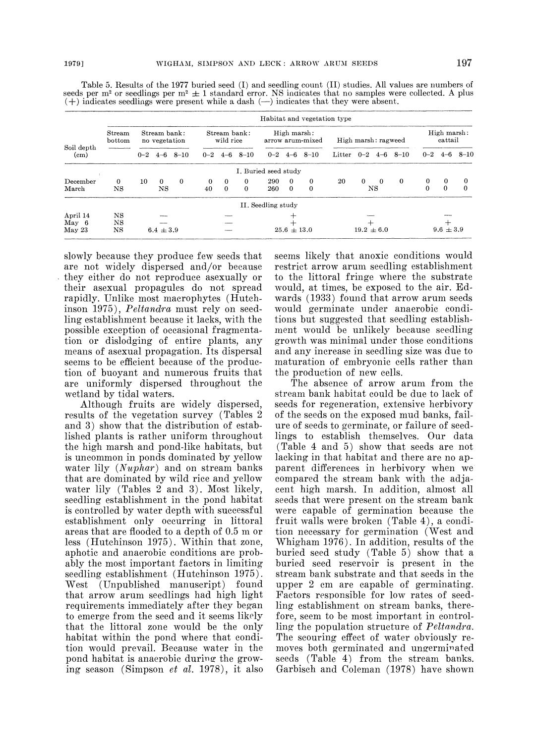|                                 | Habitat and vegetation type |                               |               |                           |          |                                 |          |                      |          |                |                        |          |                |          |               |          |          |
|---------------------------------|-----------------------------|-------------------------------|---------------|---------------------------|----------|---------------------------------|----------|----------------------|----------|----------------|------------------------|----------|----------------|----------|---------------|----------|----------|
| Soil depth<br>(c <sub>m</sub> ) | Stream<br>bottom            | Stream bank:<br>no vegetation |               | Stream bank:<br>wild rice |          | High marsh:<br>arrow arum-mixed |          | High marsh: ragweed  |          |                | High marsh:<br>cattail |          |                |          |               |          |          |
|                                 |                             | $0 - 2$                       | $4 - 6$       | $8 - 10$                  |          | $0 - 2 \quad 4 - 6$             | $8 - 10$ | $0 - 2$              |          | $4 - 6$ 8 - 10 | Litter $0-2$           |          | $4 - 6$        | $8 - 10$ | $0 - 2$       | $4 - 6$  | $8 - 10$ |
|                                 |                             |                               |               |                           |          |                                 |          | I. Buried seed study |          |                |                        |          |                |          |               |          |          |
| December                        | 0                           | 10                            | $\Omega$      | $\mathbf{0}$              | $\Omega$ | $\bf{0}$                        | 0        | 290                  | 0        | $\Omega$       | 20                     | $\Omega$ | $\overline{0}$ | $\bf{0}$ | 0             | $\bf{0}$ | $\Omega$ |
| March                           | NS                          |                               | NS            |                           | 40       | $\Omega$                        | $\Omega$ | 260                  | $\Omega$ | $\mathbf{0}$   |                        |          | NS             |          | $\Omega$      | $\Omega$ | $\theta$ |
|                                 |                             |                               |               |                           |          |                                 |          | II. Seedling study   |          |                |                        |          |                |          |               |          |          |
| April 14                        | NS                          |                               |               |                           |          |                                 |          |                      |          |                |                        |          |                |          |               |          |          |
| May 6                           | NS                          |                               |               |                           |          |                                 |          |                      |          |                |                        |          |                |          |               |          |          |
| May 23                          | NS                          |                               | $6.4 \pm 3.9$ |                           |          |                                 |          | $25.6 \pm 13.0$      |          |                | $19.2 \pm 6.0$         |          |                |          | $9.6 \pm 3.9$ |          |          |

Table 5. Results of the 1977 buried seed (I) and seedling count (II) studies. All values are numbers of seeds per m<sup>2</sup> or seedlings per m<sup>2</sup>  $\pm$  1 standard error. NS indicates that no samples were collected. A plus  $(+)$  indicates seedlings were present while a dash  $(-)$  indicates that they were absent.

slowly because they produce few seeds that are not widely dispersed and/or because they either do not reproduce asexually or their asexual propagules do not spread rapidly. Unlike most macrophytes (Hutchinson 1975), Peltandra must rely on seedling establishment because it lacks, with the possible exception of occasional fragmentation or dislodging of entire plants, any means of asexual propagation. Its dispersal seems to be efficient because of the produetion of buoyant and numerous fruits that are uniformly dispersed throughout the wetland by tidal waters.

Although fruits are widely dispersed, results of the vegetation survey (Tables 2 and 3) show that the distribution of established plants is rather uniform throughout the high marsh and pond-like habitats, but is uncommon in ponds dominated by yellow water lily  $(Number)$  and on stream banks that are dominated by wild rice and yellow water lily (Tables 2 and 3). Most likely, seedling establishment in the pond habitat is controlled by water depth with successful establishment only occurring in littoral areas that are flooded to a depth of 0.5 m or less (Hutchinson 1975). Within that zone, aphotic and anaerobic conditions are probably the most important factors in limiting seedling establishment (Hutchinson 1975). West (Unpublished manuscript) found that arrow arum seedlings had high light requirements immediately after they began to emerge from the seed and it seems likely that the littoral zone would be the only habitat within the pond where that condition would prevail. Because water in the pond habitat is anaerobic during the growing season (Simpson et al. 1978), it also

seems likely that anoxie conditions would restriet arrow aruni seedling establishment to the littoral fringe where the substrate would, at times, be exposed to the air. Edwards (1933) found that arrow arum seeds would germinate under anaerobic conditions but suggested that seedling establishment would be unlikely because seedling growth was minimal under those conditions and any increase in seedling size was due to maturation of embryonic cells rather than the production of new cells.

The absence of arrow arum from the stream bank habitat could be due to lack of seeds for regeneration, extensive herbivory of the seeds on the exposed mud banks, failure of seeds to germinate, or failure of seedlings to establish themselves. Our data (Table 4 and 5) show that seeds are not lacking in that habitat and there are no apparent differences in herbivory when we compared the stream bank with the adjacent high marsh. In addition, almost all seeds that were present on the stream bank were capable of germination because the fruit walls were broken (Table 4), a condition necessary for germination (West and Whigham 1976). In addition, results of the buried seed study (Table 5) show that a buried seed reservoir is present in the stream bank substrate and that seeds in the upper 2 cm are capable of germinating. Factors responsible for low rates of seedling establishment on stream banks, therefore, seem to be most important in controlling the population structure of Peltandra. The scouring effect of water obviously removes both germinated and ungerminated seeds (Table 4) from the stream banks. Garbisch and Coleman (1978) have shown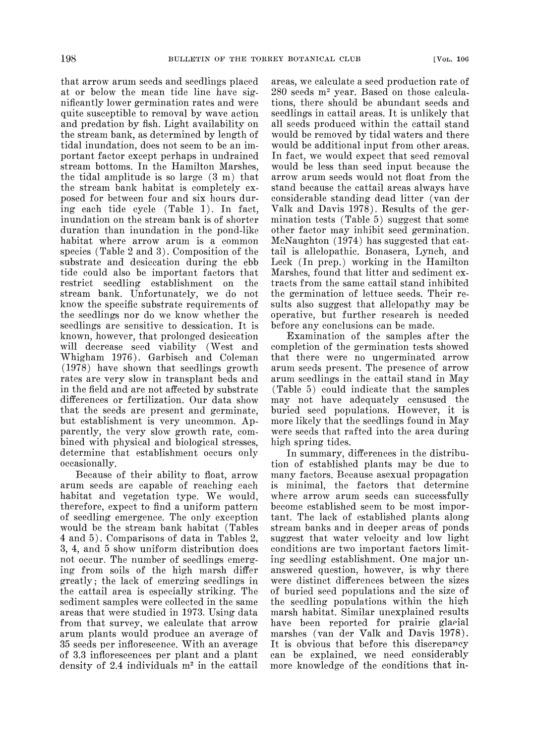that arrow arum seeds and seedlings placed at or below the mean tide line have significantly lower germination rates and were quite susceptible to removal by wave action and predation by fish. Light availability on the stream bank, as determined by length of tidal inundation, does not seem to be an important factor except perhaps in undrained stream bottoms. In the Hamilton Marshes, the tidal amplitude is so large (3 m) that the stream bank habitat is completely exposed for between four and six hours during each tide cycle (Table 1). In fact, inundation on the stream bank is of shorter duration than inundation in the pond-like habitat where arrow arum is a common species (Table 2 and 3). Composition of the substrate and desiccation during the ebb tide could also be important factors that restrict seedling establishment on the stream bank. Unfortunately, we do not know the specific substrate requirements of the seedlings nor do we know whether the seedlings are sensitive to dessication. It is known, however, that prolonged desiccation will decrease seed viability (West and Whigham 1976). Garbisch and Coleman (1978) have shown that seedlings growth rates are very slow in transplant beds and in the field and are not affected by substrate differences or fertilization. Our data show that the seeds are present and germinate, but establishment is very uncommon. Apparently, the very slow growth rate, combined with physical and biological stresses, determine that establishment occurs only occasionally.

Because of their ability to float, arrow arum seeds are capable of reaching each habitat and vegetation type. We would, therefore, expect to find a uniform pattern of seedling emergence. The only exception would be the stream bank habitat (Tables 4 and 5). Comparisons of data in Tables 2, 3, 4, and 5 show uniform distribution does not occur. The number of seedlings emerging from soils of the high marsh differ greatly; the lack of emerging seedlings in the cattail area is especially striking. The sediment samples were collected in the same areas that were studied in 1973. Using data from that survey, we ealculate that arrow arum plants would produce an average of 35 seeds per infloreseence. With an average of 3.3 infloreseences per plant and a plant density of 2.4 individuals m<sup>2</sup> in the cattail

areas, we calculate a seed production rate of  $280$  seeds  $m<sup>2</sup>$  year. Based on those calculations, there should be abundant seeds and seedlings in cattail areas. It is unlikely that all seeds produced within the cattail stand would be removed by tidal waters and there would be additional input from other areas. In fact, we would expect that seed removal would be less than seed input because the arrow arum seeds would not float from the stand because the cattail areas always have considerable standing dead litter (van der Valk and Davis 1978). Results of the germination tests (Table 5) suggest that some other factor may inhibit seed germination. MeNaughton (1974) has suggested that cattail is allelopathic. Bonasera, Lynch, and Leek (In prep.) working in the Hamilton Marshes, found that litter and sediment extracts from the same cattail stand inhibited the germination of lettuce seeds. Their results also suggest that allelopathy may be operative, but further research is needed before any conclusions can be made.

Examination of the samples after the completion of the germination tests showed that there were no ungerminated arrow arum seeds present. The presence of arrow arum seedlings in the cattail stand in May (Table 5) could indicate that the samples may not have adequately censused the buried seed populations. However, it is more likely that the seedlings found in May were seeds that rafted into the area during high spring tides.

In summary, differences in the distribution of established plants may be due to many factors. Because asexual propagation is minimal, the factors that determine where arrow arum seeds can successfully become established seem to be most important. The lack of established plants along stream banks and in deeper areas of ponds suggest that water velocity and low light conditions are two important factors limiting seedling establishment. One major unanswered question, however, is why there were distinct differences between the sizes of buried seed populations and the size of the seedling populations within the high marsh habitat. Similar unexplained results have been reported for prairie glaeial marshes (van der Valk and Davis 1978). It is obvious that before this discrepancy can be explained, we need considerably more knowledge of the conditions that in